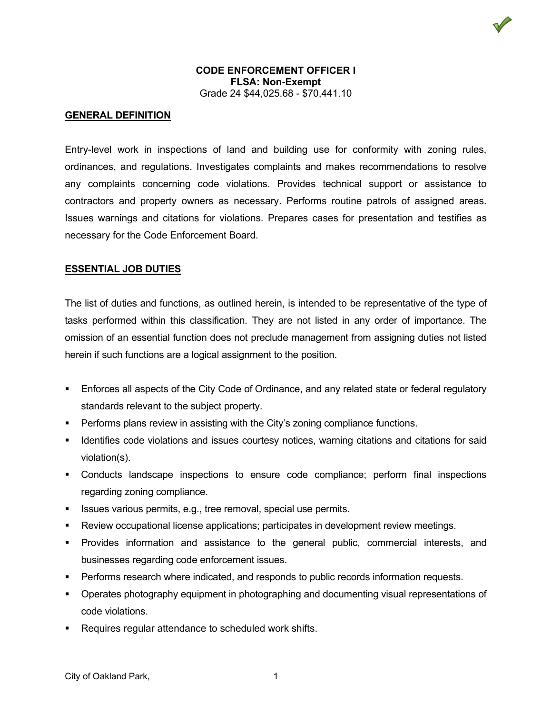

## **CODE ENFORCEMENT OFFICER I FLSA: Non-Exempt** Grade 24 \$44,025.68 - \$70,441.10

## **GENERAL DEFINITION**

Entry-level work in inspections of land and building use for conformity with zoning rules, ordinances, and regulations. Investigates complaints and makes recommendations to resolve any complaints concerning code violations. Provides technical support or assistance to contractors and property owners as necessary. Performs routine patrols of assigned areas. Issues warnings and citations for violations. Prepares cases for presentation and testifies as necessary for the Code Enforcement Board.

#### **ESSENTIAL JOB DUTIES**

The list of duties and functions, as outlined herein, is intended to be representative of the type of tasks performed within this classification. They are not listed in any order of importance. The omission of an essential function does not preclude management from assigning duties not listed herein if such functions are a logical assignment to the position.

- Enforces all aspects of the City Code of Ordinance, and any related state or federal regulatory standards relevant to the subject property.
- Performs plans review in assisting with the City's zoning compliance functions.
- **If Identifies code violations and issues courtesy notices, warning citations and citations for said** violation(s).
- Conducts landscape inspections to ensure code compliance; perform final inspections regarding zoning compliance.
- **ISSUES various permits, e.g., tree removal, special use permits.**
- Review occupational license applications; participates in development review meetings.
- Provides information and assistance to the general public, commercial interests, and businesses regarding code enforcement issues.
- **Performs research where indicated, and responds to public records information requests.**
- **•** Operates photography equipment in photographing and documenting visual representations of code violations.
- Requires regular attendance to scheduled work shifts.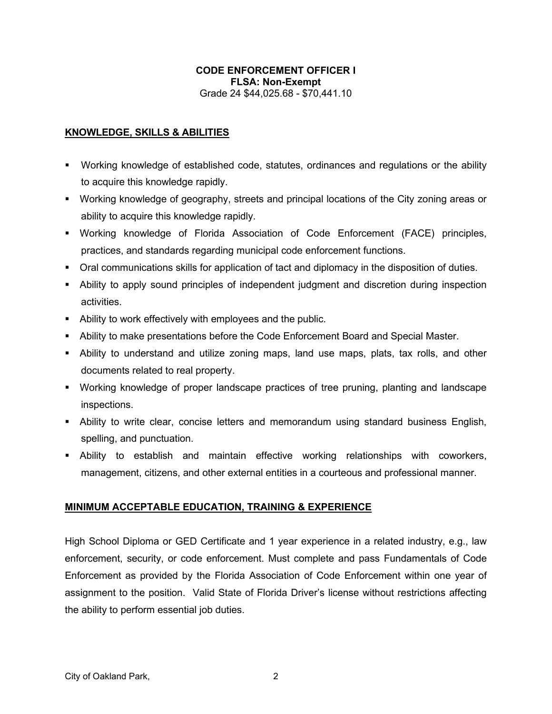# **CODE ENFORCEMENT OFFICER I FLSA: Non-Exempt** Grade 24 \$44,025.68 - \$70,441.10

## **KNOWLEDGE, SKILLS & ABILITIES**

- Working knowledge of established code, statutes, ordinances and regulations or the ability to acquire this knowledge rapidly.
- Working knowledge of geography, streets and principal locations of the City zoning areas or ability to acquire this knowledge rapidly.
- Working knowledge of Florida Association of Code Enforcement (FACE) principles, practices, and standards regarding municipal code enforcement functions.
- Oral communications skills for application of tact and diplomacy in the disposition of duties.
- Ability to apply sound principles of independent judgment and discretion during inspection activities.
- Ability to work effectively with employees and the public.
- Ability to make presentations before the Code Enforcement Board and Special Master.
- Ability to understand and utilize zoning maps, land use maps, plats, tax rolls, and other documents related to real property.
- Working knowledge of proper landscape practices of tree pruning, planting and landscape inspections.
- Ability to write clear, concise letters and memorandum using standard business English, spelling, and punctuation.
- Ability to establish and maintain effective working relationships with coworkers, management, citizens, and other external entities in a courteous and professional manner.

## **MINIMUM ACCEPTABLE EDUCATION, TRAINING & EXPERIENCE**

High School Diploma or GED Certificate and 1 year experience in a related industry, e.g., law enforcement, security, or code enforcement. Must complete and pass Fundamentals of Code Enforcement as provided by the Florida Association of Code Enforcement within one year of assignment to the position. Valid State of Florida Driver's license without restrictions affecting the ability to perform essential job duties.